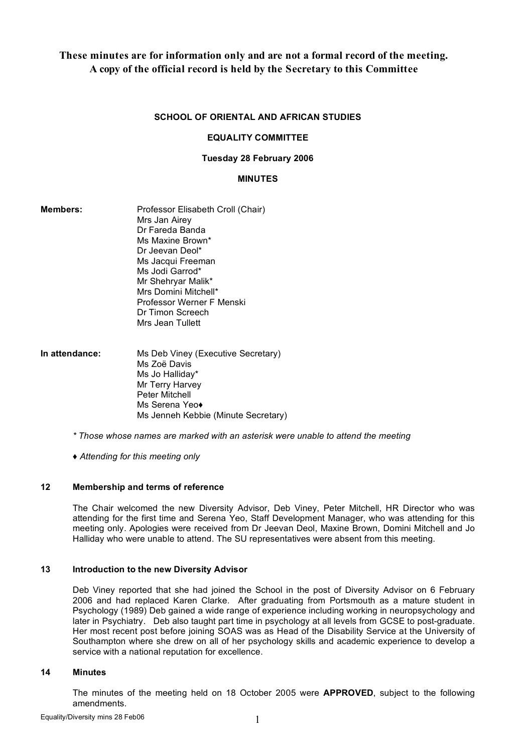# **These minutes are for information only and are not a formal record of the meeting. A copy of the official record is held by the Secretary to this Committee**

## **SCHOOL OF ORIENTAL AND AFRICAN STUDIES**

#### **EQUALITY COMMITTEE**

#### **Tuesday 28 February 2006**

#### **MINUTES**

| <b>Members:</b> | Professor Elisabeth Croll (Chair)<br>Mrs Jan Airev |
|-----------------|----------------------------------------------------|
|                 | Dr Fareda Banda                                    |
|                 | Ms Maxine Brown*                                   |
|                 | Dr Jeevan Deol*                                    |
|                 | Ms Jacqui Freeman                                  |
|                 | Ms Jodi Garrod*                                    |
|                 | Mr Shehryar Malik*                                 |
|                 | Mrs Domini Mitchell*                               |
|                 | Professor Werner F Menski                          |
|                 | Dr Timon Screech                                   |
|                 | Mrs Jean Tullett                                   |
| In attendance:  | Ms Deb Viney (Executive Secretary)                 |
|                 | Ms Zoë Davis                                       |
|                 | Ms Jo Halliday*                                    |
|                 | Mr Terry Harvey                                    |

Peter Mitchell Ms Serena Yeo*♦*

Ms Jenneh Kebbie (Minute Secretary)

*\* Those whose names are marked with an asterisk were unable to attend the meeting*

*♦ Attending for this meeting only*

#### **12 Membership and terms of reference**

The Chair welcomed the new Diversity Advisor, Deb Viney, Peter Mitchell, HR Director who was attending for the first time and Serena Yeo, Staff Development Manager, who was attending for this meeting only. Apologies were received from Dr Jeevan Deol, Maxine Brown, Domini Mitchell and Jo Halliday who were unable to attend. The SU representatives were absent from this meeting.

#### **13 Introduction to the new Diversity Advisor**

Deb Viney reported that she had joined the School in the post of Diversity Advisor on 6 February 2006 and had replaced Karen Clarke. After graduating from Portsmouth as a mature student in Psychology (1989) Deb gained a wide range of experience including working in neuropsychology and later in Psychiatry. Deb also taught part time in psychology at all levels from GCSE to post-graduate. Her most recent post before joining SOAS was as Head of the Disability Service at the University of Southampton where she drew on all of her psychology skills and academic experience to develop a service with a national reputation for excellence.

#### **14 Minutes**

The minutes of the meeting held on 18 October 2005 were **APPROVED**, subject to the following amendments.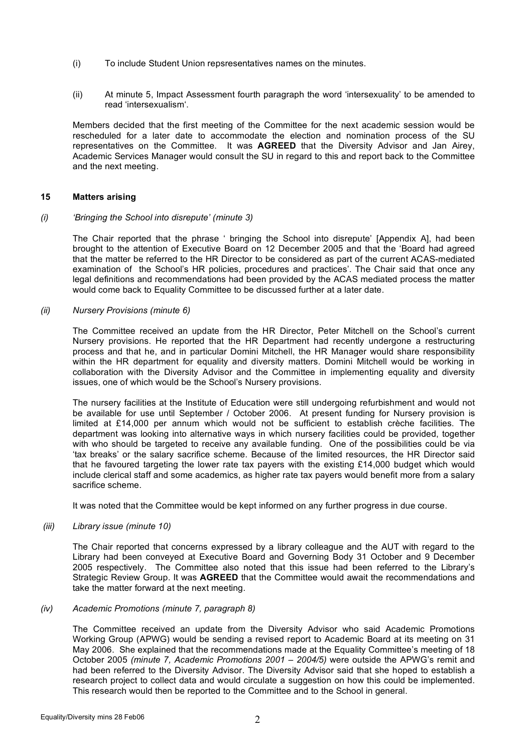- (i) To include Student Union repsresentatives names on the minutes.
- (ii) At minute 5, Impact Assessment fourth paragraph the word 'intersexuality' to be amended to read 'intersexualism'.

Members decided that the first meeting of the Committee for the next academic session would be rescheduled for a later date to accommodate the election and nomination process of the SU representatives on the Committee. It was **AGREED** that the Diversity Advisor and Jan Airey, Academic Services Manager would consult the SU in regard to this and report back to the Committee and the next meeting.

# **15 Matters arising**

## *(i) 'Bringing the School into disrepute' (minute 3)*

The Chair reported that the phrase ' bringing the School into disrepute' [Appendix A], had been brought to the attention of Executive Board on 12 December 2005 and that the 'Board had agreed that the matter be referred to the HR Director to be considered as part of the current ACAS-mediated examination of the School's HR policies, procedures and practices'. The Chair said that once any legal definitions and recommendations had been provided by the ACAS mediated process the matter would come back to Equality Committee to be discussed further at a later date.

## *(ii) Nursery Provisions (minute 6)*

The Committee received an update from the HR Director, Peter Mitchell on the School's current Nursery provisions. He reported that the HR Department had recently undergone a restructuring process and that he, and in particular Domini Mitchell, the HR Manager would share responsibility within the HR department for equality and diversity matters. Domini Mitchell would be working in collaboration with the Diversity Advisor and the Committee in implementing equality and diversity issues, one of which would be the School's Nursery provisions.

The nursery facilities at the Institute of Education were still undergoing refurbishment and would not be available for use until September / October 2006. At present funding for Nursery provision is limited at £14,000 per annum which would not be sufficient to establish crèche facilities. The department was looking into alternative ways in which nursery facilities could be provided, together with who should be targeted to receive any available funding. One of the possibilities could be via 'tax breaks' or the salary sacrifice scheme. Because of the limited resources, the HR Director said that he favoured targeting the lower rate tax payers with the existing £14,000 budget which would include clerical staff and some academics, as higher rate tax payers would benefit more from a salary sacrifice scheme.

It was noted that the Committee would be kept informed on any further progress in due course.

#### *(iii) Library issue (minute 10)*

The Chair reported that concerns expressed by a library colleague and the AUT with regard to the Library had been conveyed at Executive Board and Governing Body 31 October and 9 December 2005 respectively. The Committee also noted that this issue had been referred to the Library's Strategic Review Group. It was **AGREED** that the Committee would await the recommendations and take the matter forward at the next meeting.

#### *(iv) Academic Promotions (minute 7, paragraph 8)*

The Committee received an update from the Diversity Advisor who said Academic Promotions Working Group (APWG) would be sending a revised report to Academic Board at its meeting on 31 May 2006. She explained that the recommendations made at the Equality Committee's meeting of 18 October 2005 *(minute 7, Academic Promotions 2001 – 2004/5)* were outside the APWG's remit and had been referred to the Diversity Advisor. The Diversity Advisor said that she hoped to establish a research project to collect data and would circulate a suggestion on how this could be implemented. This research would then be reported to the Committee and to the School in general.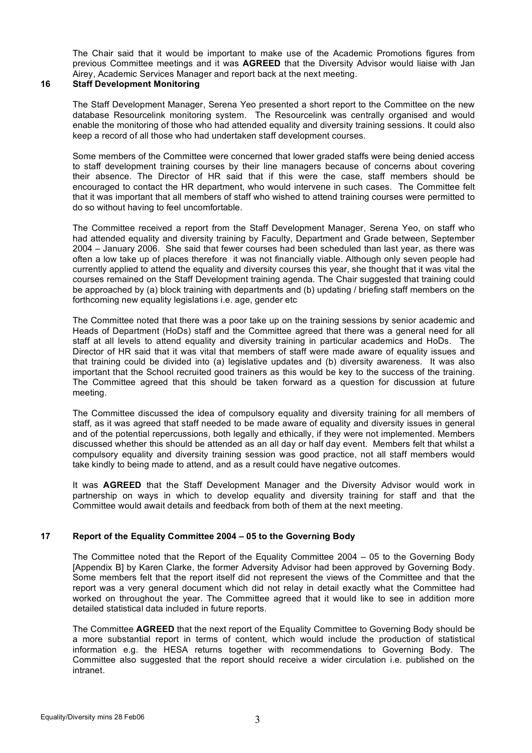The Chair said that it would be important to make use of the Academic Promotions figures from previous Committee meetings and it was **AGREED** that the Diversity Advisor would liaise with Jan Airey, Academic Services Manager and report back at the next meeting.

## **16 Staff Development Monitoring**

The Staff Development Manager, Serena Yeo presented a short report to the Committee on the new database Resourcelink monitoring system. The Resourcelink was centrally organised and would enable the monitoring of those who had attended equality and diversity training sessions. It could also keep a record of all those who had undertaken staff development courses.

Some members of the Committee were concerned that lower graded staffs were being denied access to staff development training courses by their line managers because of concerns about covering their absence. The Director of HR said that if this were the case, staff members should be encouraged to contact the HR department, who would intervene in such cases. The Committee felt that it was important that all members of staff who wished to attend training courses were permitted to do so without having to feel uncomfortable.

The Committee received a report from the Staff Development Manager, Serena Yeo, on staff who had attended equality and diversity training by Faculty, Department and Grade between, September 2004 – January 2006. She said that fewer courses had been scheduled than last year, as there was often a low take up of places therefore it was not financially viable. Although only seven people had currently applied to attend the equality and diversity courses this year, she thought that it was vital the courses remained on the Staff Development training agenda. The Chair suggested that training could be approached by (a) block training with departments and (b) updating / briefing staff members on the forthcoming new equality legislations i.e. age, gender etc

The Committee noted that there was a poor take up on the training sessions by senior academic and Heads of Department (HoDs) staff and the Committee agreed that there was a general need for all staff at all levels to attend equality and diversity training in particular academics and HoDs. The Director of HR said that it was vital that members of staff were made aware of equality issues and that training could be divided into (a) legislative updates and (b) diversity awareness. It was also important that the School recruited good trainers as this would be key to the success of the training. The Committee agreed that this should be taken forward as a question for discussion at future meeting.

The Committee discussed the idea of compulsory equality and diversity training for all members of staff, as it was agreed that staff needed to be made aware of equality and diversity issues in general and of the potential repercussions, both legally and ethically, if they were not implemented. Members discussed whether this should be attended as an all day or half day event. Members felt that whilst a compulsory equality and diversity training session was good practice, not all staff members would take kindly to being made to attend, and as a result could have negative outcomes.

It was **AGREED** that the Staff Development Manager and the Diversity Advisor would work in partnership on ways in which to develop equality and diversity training for staff and that the Committee would await details and feedback from both of them at the next meeting.

# **17 Report of the Equality Committee 2004 – 05 to the Governing Body**

The Committee noted that the Report of the Equality Committee 2004 – 05 to the Governing Body [Appendix B] by Karen Clarke, the former Adversity Advisor had been approved by Governing Body. Some members felt that the report itself did not represent the views of the Committee and that the report was a very general document which did not relay in detail exactly what the Committee had worked on throughout the year. The Committee agreed that it would like to see in addition more detailed statistical data included in future reports.

The Committee **AGREED** that the next report of the Equality Committee to Governing Body should be a more substantial report in terms of content, which would include the production of statistical information e.g. the HESA returns together with recommendations to Governing Body. The Committee also suggested that the report should receive a wider circulation i.e. published on the intranet.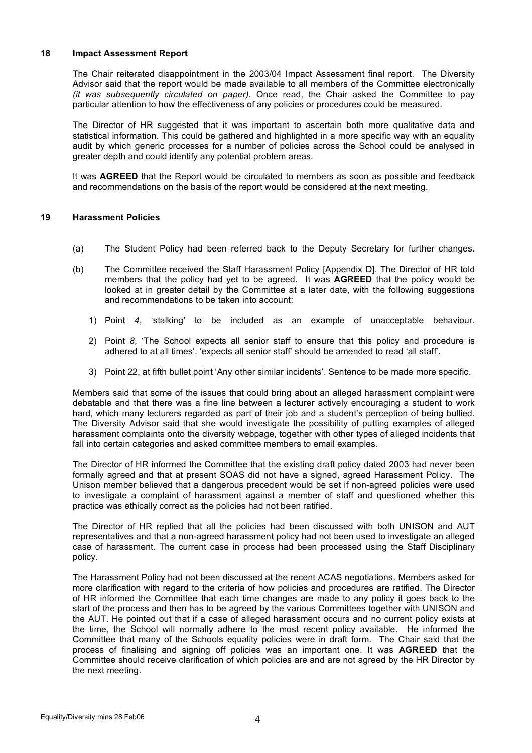#### **18 Impact Assessment Report**

The Chair reiterated disappointment in the 2003/04 Impact Assessment final report. The Diversity Advisor said that the report would be made available to all members of the Committee electronically *(it was subsequently circulated on paper)*. Once read, the Chair asked the Committee to pay particular attention to how the effectiveness of any policies or procedures could be measured.

The Director of HR suggested that it was important to ascertain both more qualitative data and statistical information. This could be gathered and highlighted in a more specific way with an equality audit by which generic processes for a number of policies across the School could be analysed in greater depth and could identify any potential problem areas.

It was **AGREED** that the Report would be circulated to members as soon as possible and feedback and recommendations on the basis of the report would be considered at the next meeting.

## **19 Harassment Policies**

- (a) The Student Policy had been referred back to the Deputy Secretary for further changes.
- (b) The Committee received the Staff Harassment Policy [Appendix D]. The Director of HR told members that the policy had yet to be agreed. It was **AGREED** that the policy would be looked at in greater detail by the Committee at a later date, with the following suggestions and recommendations to be taken into account:
	- 1) Point *4*, 'stalking' to be included as an example of unacceptable behaviour.
	- 2) Point *8,* 'The School expects all senior staff to ensure that this policy and procedure is adhered to at all times'. 'expects all senior staff' should be amended to read 'all staff'.
	- 3) Point 22, at fifth bullet point 'Any other similar incidents'. Sentence to be made more specific.

Members said that some of the issues that could bring about an alleged harassment complaint were debatable and that there was a fine line between a lecturer actively encouraging a student to work hard, which many lecturers regarded as part of their job and a student's perception of being bullied. The Diversity Advisor said that she would investigate the possibility of putting examples of alleged harassment complaints onto the diversity webpage, together with other types of alleged incidents that fall into certain categories and asked committee members to email examples.

The Director of HR informed the Committee that the existing draft policy dated 2003 had never been formally agreed and that at present SOAS did not have a signed, agreed Harassment Policy. The Unison member believed that a dangerous precedent would be set if non-agreed policies were used to investigate a complaint of harassment against a member of staff and questioned whether this practice was ethically correct as the policies had not been ratified.

The Director of HR replied that all the policies had been discussed with both UNISON and AUT representatives and that a non-agreed harassment policy had not been used to investigate an alleged case of harassment. The current case in process had been processed using the Staff Disciplinary policy.

The Harassment Policy had not been discussed at the recent ACAS negotiations. Members asked for more clarification with regard to the criteria of how policies and procedures are ratified. The Director of HR informed the Committee that each time changes are made to any policy it goes back to the start of the process and then has to be agreed by the various Committees together with UNISON and the AUT. He pointed out that if a case of alleged harassment occurs and no current policy exists at the time, the School will normally adhere to the most recent policy available. He informed the Committee that many of the Schools equality policies were in draft form. The Chair said that the process of finalising and signing off policies was an important one. It was **AGREED** that the Committee should receive clarification of which policies are and are not agreed by the HR Director by the next meeting.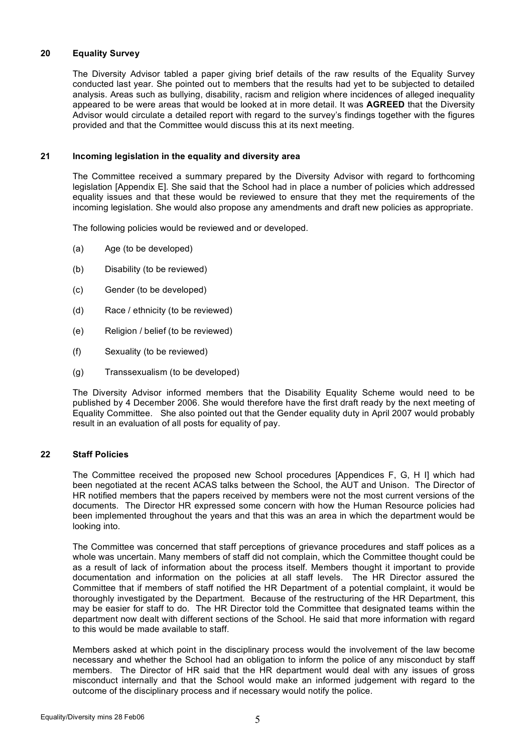# **20 Equality Survey**

The Diversity Advisor tabled a paper giving brief details of the raw results of the Equality Survey conducted last year. She pointed out to members that the results had yet to be subjected to detailed analysis. Areas such as bullying, disability, racism and religion where incidences of alleged inequality appeared to be were areas that would be looked at in more detail. It was **AGREED** that the Diversity Advisor would circulate a detailed report with regard to the survey's findings together with the figures provided and that the Committee would discuss this at its next meeting.

## **21 Incoming legislation in the equality and diversity area**

The Committee received a summary prepared by the Diversity Advisor with regard to forthcoming legislation [Appendix E]. She said that the School had in place a number of policies which addressed equality issues and that these would be reviewed to ensure that they met the requirements of the incoming legislation. She would also propose any amendments and draft new policies as appropriate.

The following policies would be reviewed and or developed.

- (a) Age (to be developed)
- (b) Disability (to be reviewed)
- (c) Gender (to be developed)
- (d) Race / ethnicity (to be reviewed)
- (e) Religion / belief (to be reviewed)
- (f) Sexuality (to be reviewed)
- (g) Transsexualism (to be developed)

The Diversity Advisor informed members that the Disability Equality Scheme would need to be published by 4 December 2006. She would therefore have the first draft ready by the next meeting of Equality Committee. She also pointed out that the Gender equality duty in April 2007 would probably result in an evaluation of all posts for equality of pay.

#### **22 Staff Policies**

The Committee received the proposed new School procedures [Appendices F, G, H I] which had been negotiated at the recent ACAS talks between the School, the AUT and Unison. The Director of HR notified members that the papers received by members were not the most current versions of the documents. The Director HR expressed some concern with how the Human Resource policies had been implemented throughout the years and that this was an area in which the department would be looking into.

The Committee was concerned that staff perceptions of grievance procedures and staff polices as a whole was uncertain. Many members of staff did not complain, which the Committee thought could be as a result of lack of information about the process itself. Members thought it important to provide documentation and information on the policies at all staff levels. The HR Director assured the Committee that if members of staff notified the HR Department of a potential complaint, it would be thoroughly investigated by the Department. Because of the restructuring of the HR Department, this may be easier for staff to do. The HR Director told the Committee that designated teams within the department now dealt with different sections of the School. He said that more information with regard to this would be made available to staff.

Members asked at which point in the disciplinary process would the involvement of the law become necessary and whether the School had an obligation to inform the police of any misconduct by staff members. The Director of HR said that the HR department would deal with any issues of gross misconduct internally and that the School would make an informed judgement with regard to the outcome of the disciplinary process and if necessary would notify the police.